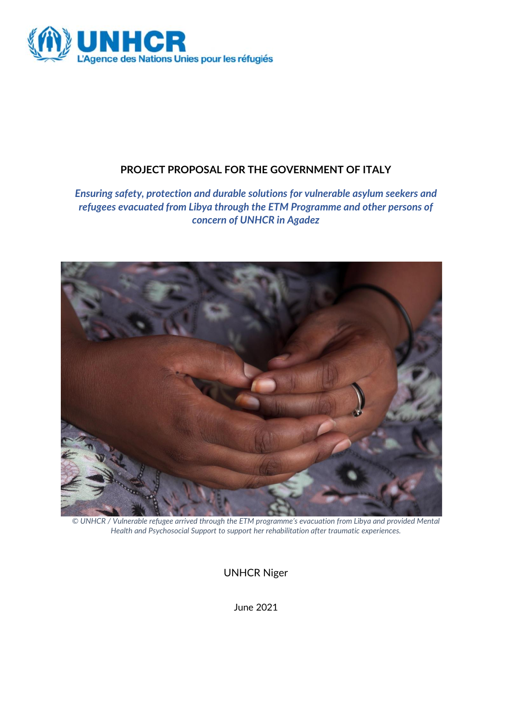

# **PROJECT PROPOSAL FOR THE GOVERNMENT OF ITALY**

*Ensuring safety, protection and durable solutions for vulnerable asylum seekers and refugees evacuated from Libya through the ETM Programme and other persons of concern of UNHCR in Agadez*



*© UNHCR / Vulnerable refugee arrived through the ETM programme's evacuation from Libya and provided Mental Health and Psychosocial Support to support her rehabilitation after traumatic experiences.*

UNHCR Niger

June 2021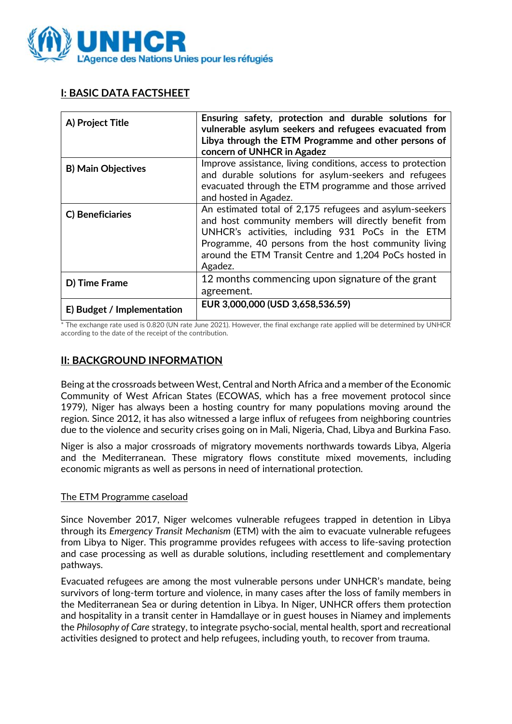

## **I: BASIC DATA FACTSHEET**

| A) Project Title           | Ensuring safety, protection and durable solutions for<br>vulnerable asylum seekers and refugees evacuated from<br>Libya through the ETM Programme and other persons of<br>concern of UNHCR in Agadez                                                                                               |
|----------------------------|----------------------------------------------------------------------------------------------------------------------------------------------------------------------------------------------------------------------------------------------------------------------------------------------------|
| <b>B) Main Objectives</b>  | Improve assistance, living conditions, access to protection<br>and durable solutions for asylum-seekers and refugees<br>evacuated through the ETM programme and those arrived<br>and hosted in Agadez.                                                                                             |
| C) Beneficiaries           | An estimated total of 2,175 refugees and asylum-seekers<br>and host community members will directly benefit from<br>UNHCR's activities, including 931 PoCs in the ETM<br>Programme, 40 persons from the host community living<br>around the ETM Transit Centre and 1,204 PoCs hosted in<br>Agadez. |
| D) Time Frame              | 12 months commencing upon signature of the grant<br>agreement.                                                                                                                                                                                                                                     |
| E) Budget / Implementation | EUR 3,000,000 (USD 3,658,536.59)                                                                                                                                                                                                                                                                   |

\* The exchange rate used is 0.820 (UN rate June 2021). However, the final exchange rate applied will be determined by UNHCR according to the date of the receipt of the contribution.

## **II: BACKGROUND INFORMATION**

Being at the crossroads between West, Central and North Africa and a member of the Economic Community of West African States (ECOWAS, which has a free movement protocol since 1979), Niger has always been a hosting country for many populations moving around the region. Since 2012, it has also witnessed a large influx of refugees from neighboring countries due to the violence and security crises going on in Mali, Nigeria, Chad, Libya and Burkina Faso.

Niger is also a major crossroads of migratory movements northwards towards Libya, Algeria and the Mediterranean. These migratory flows constitute mixed movements, including economic migrants as well as persons in need of international protection.

### The ETM Programme caseload

Since November 2017, Niger welcomes vulnerable refugees trapped in detention in Libya through its *Emergency Transit Mechanism* (ETM) with the aim to evacuate vulnerable refugees from Libya to Niger. This programme provides refugees with access to life-saving protection and case processing as well as durable solutions, including resettlement and complementary pathways.

Evacuated refugees are among the most vulnerable persons under UNHCR's mandate, being survivors of long-term torture and violence, in many cases after the loss of family members in the Mediterranean Sea or during detention in Libya. In Niger, UNHCR offers them protection and hospitality in a transit center in Hamdallaye or in guest houses in Niamey and implements the *Philosophy of Care* strategy, to integrate psycho-social, mental health, sport and recreational activities designed to protect and help refugees, including youth, to recover from trauma.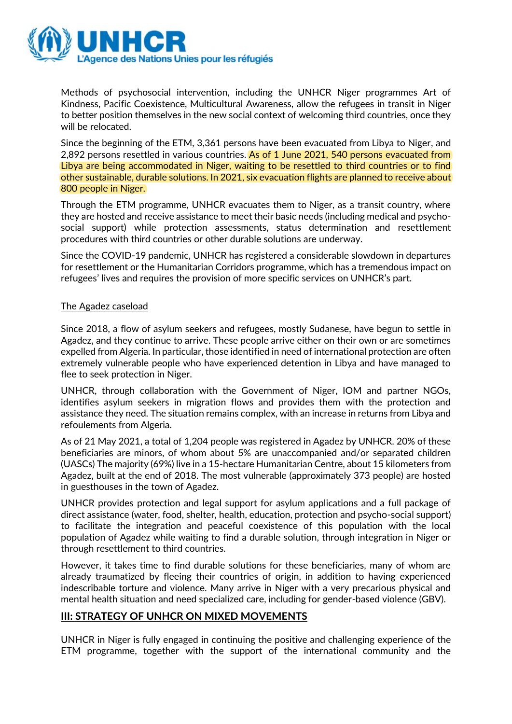

Methods of psychosocial intervention, including the UNHCR Niger programmes Art of Kindness, Pacific Coexistence, Multicultural Awareness, allow the refugees in transit in Niger to better position themselves in the new social context of welcoming third countries, once they will be relocated.

Since the beginning of the ETM, 3,361 persons have been evacuated from Libya to Niger, and 2,892 persons resettled in various countries. As of 1 June 2021, 540 persons evacuated from Libya are being accommodated in Niger, waiting to be resettled to third countries or to find other sustainable, durable solutions. In 2021, six evacuation flights are planned to receive about 800 people in Niger.

Through the ETM programme, UNHCR evacuates them to Niger, as a transit country, where they are hosted and receive assistance to meet their basic needs (including medical and psychosocial support) while protection assessments, status determination and resettlement procedures with third countries or other durable solutions are underway.

Since the COVID-19 pandemic, UNHCR has registered a considerable slowdown in departures for resettlement or the Humanitarian Corridors programme, which has a tremendous impact on refugees' lives and requires the provision of more specific services on UNHCR's part.

#### The Agadez caseload

Since 2018, a flow of asylum seekers and refugees, mostly Sudanese, have begun to settle in Agadez, and they continue to arrive. These people arrive either on their own or are sometimes expelled from Algeria. In particular, those identified in need of international protection are often extremely vulnerable people who have experienced detention in Libya and have managed to flee to seek protection in Niger.

UNHCR, through collaboration with the Government of Niger, IOM and partner NGOs, identifies asylum seekers in migration flows and provides them with the protection and assistance they need. The situation remains complex, with an increase in returns from Libya and refoulements from Algeria.

As of 21 May 2021, a total of 1,204 people was registered in Agadez by UNHCR. 20% of these beneficiaries are minors, of whom about 5% are unaccompanied and/or separated children (UASCs) The majority (69%) live in a 15-hectare Humanitarian Centre, about 15 kilometers from Agadez, built at the end of 2018. The most vulnerable (approximately 373 people) are hosted in guesthouses in the town of Agadez.

UNHCR provides protection and legal support for asylum applications and a full package of direct assistance (water, food, shelter, health, education, protection and psycho-social support) to facilitate the integration and peaceful coexistence of this population with the local population of Agadez while waiting to find a durable solution, through integration in Niger or through resettlement to third countries.

However, it takes time to find durable solutions for these beneficiaries, many of whom are already traumatized by fleeing their countries of origin, in addition to having experienced indescribable torture and violence. Many arrive in Niger with a very precarious physical and mental health situation and need specialized care, including for gender-based violence (GBV).

### **III: STRATEGY OF UNHCR ON MIXED MOVEMENTS**

UNHCR in Niger is fully engaged in continuing the positive and challenging experience of the ETM programme, together with the support of the international community and the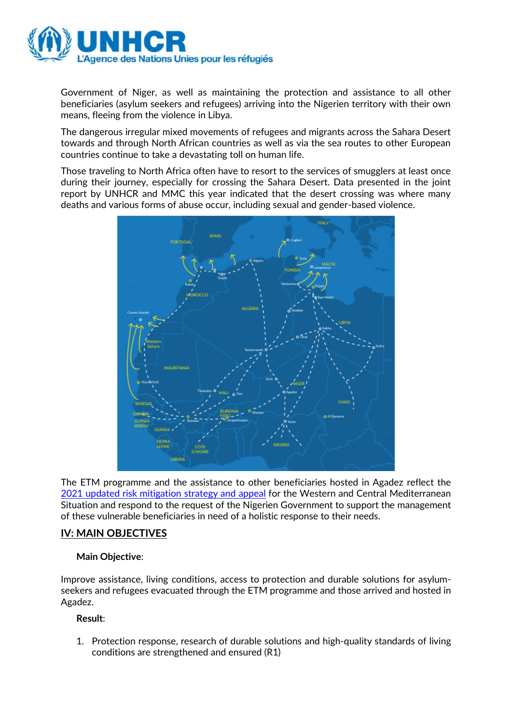

Government of Niger, as well as maintaining the protection and assistance to all other beneficiaries (asylum seekers and refugees) arriving into the Nigerien territory with their own means, fleeing from the violence in Libya.

The dangerous irregular mixed movements of refugees and migrants across the Sahara Desert towards and through North African countries as well as via the sea routes to other European countries continue to take a devastating toll on human life.

Those traveling to North Africa often have to resort to the services of smugglers at least once during their journey, especially for crossing the Sahara Desert. Data presented in the joint report by UNHCR and MMC this year indicated that the desert crossing was where many deaths and various forms of abuse occur, including sexual and gender-based violence.



The ETM programme and the assistance to other beneficiaries hosted in Agadez reflect the [2021 updated risk mitigation strategy and appeal](https://eur02.safelinks.protection.outlook.com/?url=https%3A%2F%2Freporting.unhcr.org%2Fsites%2Fdefault%2Ffiles%2FUNHCR%2520Western%2520and%2520Central%2520Mediterranean%2520Appeal%25202021.pdf&data=04%7C01%7CDELLAQUI%40unhcr.org%7C7522e561344b400cea9e08d92065d701%7Ce5c37981666441348a0c6543d2af80be%7C0%7C0%7C637576444342907133%7CUnknown%7CTWFpbGZsb3d8eyJWIjoiMC4wLjAwMDAiLCJQIjoiV2luMzIiLCJBTiI6Ik1haWwiLCJXVCI6Mn0%3D%7C1000&sdata=HLXiRD4C91GX6g8GNPOF1rWz4ocbGbmqKc8%2BK9k6geY%3D&reserved=0) for the Western and Central Mediterranean Situation and respond to the request of the Nigerien Government to support the management of these vulnerable beneficiaries in need of a holistic response to their needs.

## **IV: MAIN OBJECTIVES**

### **Main Objective**:

Improve assistance, living conditions, access to protection and durable solutions for asylumseekers and refugees evacuated through the ETM programme and those arrived and hosted in Agadez.

### **Result**:

1. Protection response, research of durable solutions and high-quality standards of living conditions are strengthened and ensured (R1)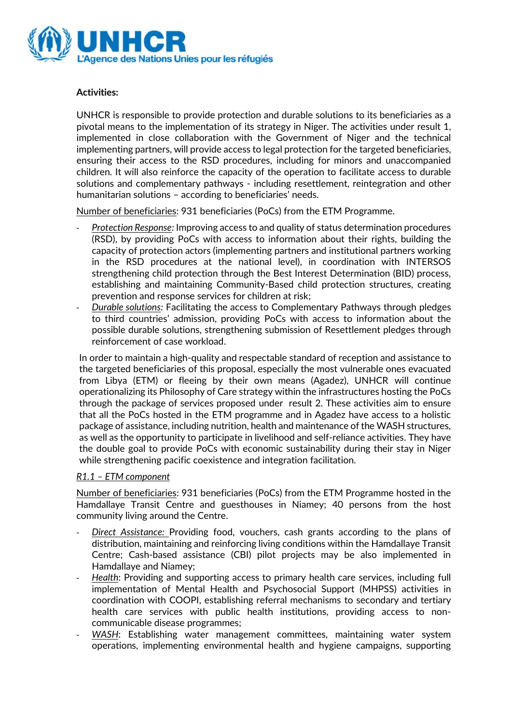

### **Activities:**

UNHCR is responsible to provide protection and durable solutions to its beneficiaries as a pivotal means to the implementation of its strategy in Niger. The activities under result 1, implemented in close collaboration with the Government of Niger and the technical implementing partners, will provide access to legal protection for the targeted beneficiaries, ensuring their access to the RSD procedures, including for minors and unaccompanied children. It will also reinforce the capacity of the operation to facilitate access to durable solutions and complementary pathways - including resettlement, reintegration and other humanitarian solutions – according to beneficiaries' needs.

Number of beneficiaries: 931 beneficiaries (PoCs) from the ETM Programme.

- *Protection Response:* Improving access to and quality of status determination procedures (RSD), by providing PoCs with access to information about their rights, building the capacity of protection actors (implementing partners and institutional partners working in the RSD procedures at the national level), in coordination with INTERSOS strengthening child protection through the Best Interest Determination (BID) process, establishing and maintaining Community-Based child protection structures, creating prevention and response services for children at risk;
- *Durable solutions:* Facilitating the access to Complementary Pathways through pledges to third countries' admission, providing PoCs with access to information about the possible durable solutions, strengthening submission of Resettlement pledges through reinforcement of case workload.

In order to maintain a high-quality and respectable standard of reception and assistance to the targeted beneficiaries of this proposal, especially the most vulnerable ones evacuated from Libya (ETM) or fleeing by their own means (Agadez), UNHCR will continue operationalizing its Philosophy of Care strategy within the infrastructures hosting the PoCs through the package of services proposed under result 2. These activities aim to ensure that all the PoCs hosted in the ETM programme and in Agadez have access to a holistic package of assistance, including nutrition, health and maintenance of the WASH structures, as well as the opportunity to participate in livelihood and self-reliance activities. They have the double goal to provide PoCs with economic sustainability during their stay in Niger while strengthening pacific coexistence and integration facilitation.

### *R1.1 – ETM component*

Number of beneficiaries: 931 beneficiaries (PoCs) from the ETM Programme hosted in the Hamdallaye Transit Centre and guesthouses in Niamey; 40 persons from the host community living around the Centre.

- *Direct Assistance:* Providing food, vouchers, cash grants according to the plans of distribution, maintaining and reinforcing living conditions within the Hamdallaye Transit Centre; Cash-based assistance (CBI) pilot projects may be also implemented in Hamdallaye and Niamey;
- *Health*: Providing and supporting access to primary health care services, including full implementation of Mental Health and Psychosocial Support (MHPSS) activities in coordination with COOPI, establishing referral mechanisms to secondary and tertiary health care services with public health institutions, providing access to noncommunicable disease programmes;
- WASH: Establishing water management committees, maintaining water system operations, implementing environmental health and hygiene campaigns, supporting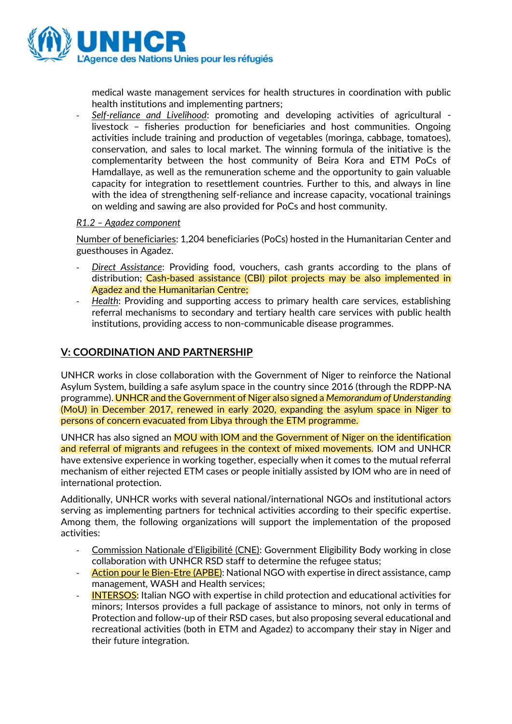

medical waste management services for health structures in coordination with public health institutions and implementing partners;

- *Self-reliance and Livelihood*: promoting and developing activities of agricultural livestock – fisheries production for beneficiaries and host communities. Ongoing activities include training and production of vegetables (moringa, cabbage, tomatoes), conservation, and sales to local market. The winning formula of the initiative is the complementarity between the host community of Beira Kora and ETM PoCs of Hamdallaye, as well as the remuneration scheme and the opportunity to gain valuable capacity for integration to resettlement countries. Further to this, and always in line with the idea of strengthening self-reliance and increase capacity, vocational trainings on welding and sawing are also provided for PoCs and host community.

### *R1.2 – Agadez component*

Number of beneficiaries: 1,204 beneficiaries (PoCs) hosted in the Humanitarian Center and guesthouses in Agadez.

- *Direct Assistance*: Providing food, vouchers, cash grants according to the plans of distribution; Cash-based assistance (CBI) pilot projects may be also implemented in Agadez and the Humanitarian Centre;
- *Health*: Providing and supporting access to primary health care services, establishing referral mechanisms to secondary and tertiary health care services with public health institutions, providing access to non-communicable disease programmes.

## **V: COORDINATION AND PARTNERSHIP**

UNHCR works in close collaboration with the Government of Niger to reinforce the National Asylum System, building a safe asylum space in the country since 2016 (through the RDPP-NA programme). UNHCR and the Government of Niger also signed a *Memorandum of Understanding* (MoU) in December 2017, renewed in early 2020, expanding the asylum space in Niger to persons of concern evacuated from Libya through the ETM programme.

UNHCR has also signed an **MOU** with IOM and the Government of Niger on the identification and referral of migrants and refugees in the context of mixed movements. IOM and UNHCR have extensive experience in working together, especially when it comes to the mutual referral mechanism of either rejected ETM cases or people initially assisted by IOM who are in need of international protection.

Additionally, UNHCR works with several national/international NGOs and institutional actors serving as implementing partners for technical activities according to their specific expertise. Among them, the following organizations will support the implementation of the proposed activities:

- Commission Nationale d'Eligibilité (CNE): Government Eligibility Body working in close collaboration with UNHCR RSD staff to determine the refugee status;
- Action pour le Bien-Etre (APBE): National NGO with expertise in direct assistance, camp management, WASH and Health services;
- INTERSOS: Italian NGO with expertise in child protection and educational activities for minors; Intersos provides a full package of assistance to minors, not only in terms of Protection and follow-up of their RSD cases, but also proposing several educational and recreational activities (both in ETM and Agadez) to accompany their stay in Niger and their future integration.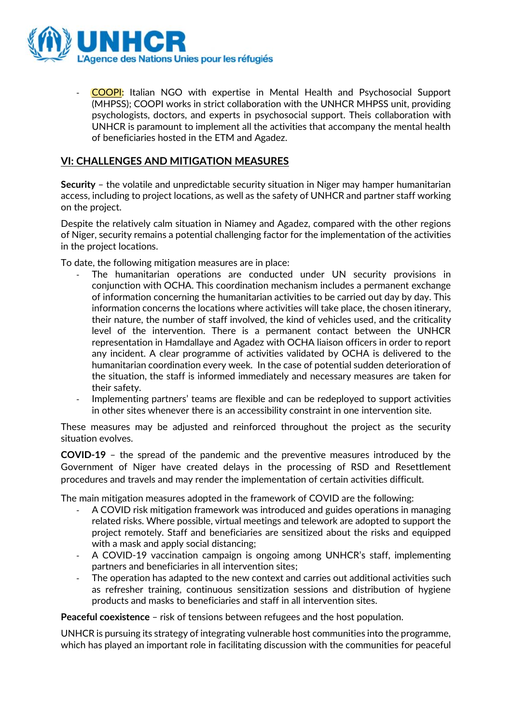

- COOPI: Italian NGO with expertise in Mental Health and Psychosocial Support (MHPSS); COOPI works in strict collaboration with the UNHCR MHPSS unit, providing psychologists, doctors, and experts in psychosocial support. Theis collaboration with UNHCR is paramount to implement all the activities that accompany the mental health of beneficiaries hosted in the ETM and Agadez.

### **VI: CHALLENGES AND MITIGATION MEASURES**

**Security** – the volatile and unpredictable security situation in Niger may hamper humanitarian access, including to project locations, as well as the safety of UNHCR and partner staff working on the project.

Despite the relatively calm situation in Niamey and Agadez, compared with the other regions of Niger, security remains a potential challenging factor for the implementation of the activities in the project locations.

To date, the following mitigation measures are in place:

- The humanitarian operations are conducted under UN security provisions in conjunction with OCHA. This coordination mechanism includes a permanent exchange of information concerning the humanitarian activities to be carried out day by day. This information concerns the locations where activities will take place, the chosen itinerary, their nature, the number of staff involved, the kind of vehicles used, and the criticality level of the intervention. There is a permanent contact between the UNHCR representation in Hamdallaye and Agadez with OCHA liaison officers in order to report any incident. A clear programme of activities validated by OCHA is delivered to the humanitarian coordination every week. In the case of potential sudden deterioration of the situation, the staff is informed immediately and necessary measures are taken for their safety.
- Implementing partners' teams are flexible and can be redeployed to support activities in other sites whenever there is an accessibility constraint in one intervention site.

These measures may be adjusted and reinforced throughout the project as the security situation evolves.

**COVID-19** – the spread of the pandemic and the preventive measures introduced by the Government of Niger have created delays in the processing of RSD and Resettlement procedures and travels and may render the implementation of certain activities difficult.

The main mitigation measures adopted in the framework of COVID are the following:

- A COVID risk mitigation framework was introduced and guides operations in managing related risks. Where possible, virtual meetings and telework are adopted to support the project remotely. Staff and beneficiaries are sensitized about the risks and equipped with a mask and apply social distancing;
- A COVID-19 vaccination campaign is ongoing among UNHCR's staff, implementing partners and beneficiaries in all intervention sites;
- The operation has adapted to the new context and carries out additional activities such as refresher training, continuous sensitization sessions and distribution of hygiene products and masks to beneficiaries and staff in all intervention sites.

**Peaceful coexistence** – risk of tensions between refugees and the host population.

UNHCR is pursuing its strategy of integrating vulnerable host communities into the programme, which has played an important role in facilitating discussion with the communities for peaceful